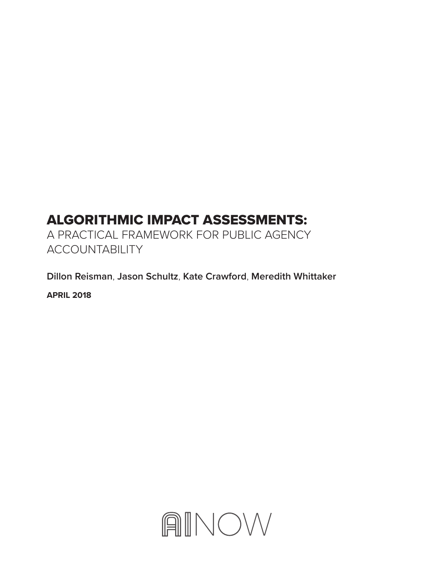# ALGORITHMIC IMPACT ASSESSMENTS:

A PRACTICAL FRAMEWORK FOR PUBLIC AGENCY ACCOUNTABILITY

**Dillon Reisman**, **Jason Schultz**, **Kate Crawford**, **Meredith Whittaker**

**APRIL 2018**

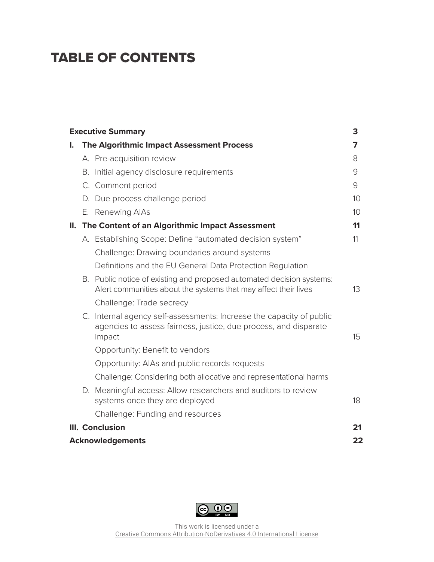# TABLE OF CONTENTS

| <b>Executive Summary</b><br>3 |                         |                                                                                                                                                    |                 |  |
|-------------------------------|-------------------------|----------------------------------------------------------------------------------------------------------------------------------------------------|-----------------|--|
| I.                            |                         | The Algorithmic Impact Assessment Process                                                                                                          | 7               |  |
|                               |                         | A. Pre-acquisition review                                                                                                                          | 8               |  |
|                               |                         | B. Initial agency disclosure requirements                                                                                                          | 9               |  |
|                               |                         | C. Comment period                                                                                                                                  | 9               |  |
|                               |                         | D. Due process challenge period                                                                                                                    | 10 <sup>°</sup> |  |
|                               |                         | E. Renewing AIAs                                                                                                                                   | 10 <sup>°</sup> |  |
|                               |                         | II. The Content of an Algorithmic Impact Assessment                                                                                                | 11              |  |
|                               |                         | A. Establishing Scope: Define "automated decision system"                                                                                          | 11              |  |
|                               |                         | Challenge: Drawing boundaries around systems                                                                                                       |                 |  |
|                               |                         | Definitions and the EU General Data Protection Regulation                                                                                          |                 |  |
|                               |                         | B. Public notice of existing and proposed automated decision systems:<br>Alert communities about the systems that may affect their lives           | 13              |  |
|                               |                         | Challenge: Trade secrecy                                                                                                                           |                 |  |
|                               |                         | C. Internal agency self-assessments: Increase the capacity of public<br>agencies to assess fairness, justice, due process, and disparate<br>impact | 15              |  |
|                               |                         | Opportunity: Benefit to vendors                                                                                                                    |                 |  |
|                               |                         | Opportunity: AIAs and public records requests                                                                                                      |                 |  |
|                               |                         | Challenge: Considering both allocative and representational harms                                                                                  |                 |  |
|                               |                         | D. Meaningful access: Allow researchers and auditors to review<br>systems once they are deployed                                                   | 18              |  |
|                               |                         | Challenge: Funding and resources                                                                                                                   |                 |  |
| III. Conclusion               |                         |                                                                                                                                                    |                 |  |
|                               | <b>Acknowledgements</b> |                                                                                                                                                    |                 |  |

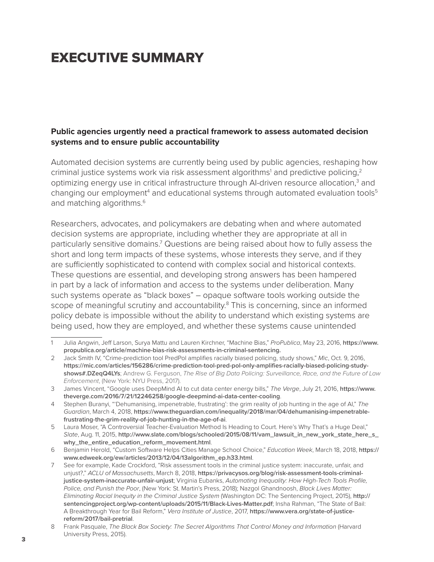# EXECUTIVE SUMMARY

### **Public agencies urgently need a practical framework to assess automated decision systems and to ensure public accountability**

Automated decision systems are currently being used by public agencies, reshaping how criminal justice systems work via risk assessment algorithms<sup>1</sup> and predictive policing,<sup>2</sup> optimizing energy use in critical infrastructure through AI-driven resource allocation,<sup>3</sup> and changing our employment<sup>4</sup> and educational systems through automated evaluation tools<sup>5</sup> and matching algorithms.<sup>6</sup>

Researchers, advocates, and policymakers are debating when and where automated decision systems are appropriate, including whether they are appropriate at all in particularly sensitive domains.<sup>7</sup> Questions are being raised about how to fully assess the short and long term impacts of these systems, whose interests they serve, and if they are sufficiently sophisticated to contend with complex social and historical contexts. These questions are essential, and developing strong answers has been hampered in part by a lack of information and access to the systems under deliberation. Many such systems operate as "black boxes" – opaque software tools working outside the scope of meaningful scrutiny and accountability.<sup>8</sup> This is concerning, since an informed policy debate is impossible without the ability to understand which existing systems are being used, how they are employed, and whether these systems cause unintended

<sup>1</sup> Julia Angwin, Jeff Larson, Surya Mattu and Lauren Kirchner, "Machine Bias," *ProPublica*, May 23, 2016, **[https://www.](https://www.propublica.org/article/machine-bias-risk-assessments-in-criminal-sentencing) [propublica.org/article/machine-bias-risk-assessments-in-criminal-sentencing](https://www.propublica.org/article/machine-bias-risk-assessments-in-criminal-sentencing).**

<sup>2</sup> Jack Smith IV, "Crime-prediction tool PredPol amplifies racially biased policing, study shows," *Mic*, Oct. 9, 2016, **[https://mic.com/articles/156286/crime-prediction-tool-pred-pol-only-amplifies-racially-biased-policing-study](https://mic.com/articles/156286/crime-prediction-tool-pred-pol-only-amplifies-racially-biased-policing-study-shows#.DZeqQ4LYs)[shows#.DZeqQ4LYs](https://mic.com/articles/156286/crime-prediction-tool-pred-pol-only-amplifies-racially-biased-policing-study-shows#.DZeqQ4LYs)**; Andrew G. Ferguson, *The Rise of Big Data Policing: Surveillance, Race, and the Future of Law Enforcement*, (New York: NYU Press, 2017).

<sup>3</sup> James Vincent, "Google uses DeepMind AI to cut data center energy bills," *The Verge*, July 21, 2016, **[https://www.](https://www.theverge.com/2016/7/21/12246258/google-deepmind-ai-data-center-cooling) [theverge.com/2016/7/21/12246258/google-deepmind-ai-data-center-cooling](https://www.theverge.com/2016/7/21/12246258/google-deepmind-ai-data-center-cooling)**.

<sup>4</sup> Stephen Buranyi, "'Dehumanising, impenetrable, frustrating': the grim reality of job hunting in the age of AI," *The Guardian*, March 4, 2018, **[https://www.theguardian.com/inequality/2018/mar/04/dehumanising-impenetrable](https://www.theguardian.com/inequality/2018/mar/04/dehumanising-impenetrable-frustrating-the-grim-reality-of-job-hunting-in-the-age-of-ai)[frustrating-the-grim-reality-of-job-hunting-in-the-age-of-ai](https://www.theguardian.com/inequality/2018/mar/04/dehumanising-impenetrable-frustrating-the-grim-reality-of-job-hunting-in-the-age-of-ai)**.

<sup>5</sup> Laura Moser, "A Controversial Teacher-Evaluation Method Is Heading to Court. Here's Why That's a Huge Deal," *Slate*, Aug. 11, 2015, **[http://www.slate.com/blogs/schooled/2015/08/11/vam\\_lawsuit\\_in\\_new\\_york\\_state\\_here\\_s\\_](http://www.slate.com/blogs/schooled/2015/08/11/vam_lawsuit_in_new_york_state_here_s_why_the_entire_education_reform_movement.html) [why\\_the\\_entire\\_education\\_reform\\_movement.html](http://www.slate.com/blogs/schooled/2015/08/11/vam_lawsuit_in_new_york_state_here_s_why_the_entire_education_reform_movement.html)**.

<sup>6</sup> Benjamin Herold, "Custom Software Helps Cities Manage School Choice," *Education Week*, March 18, 2018, **[https://](https://www.edweek.org/ew/articles/2013/12/04/13algorithm_ep.h33.html) [www.edweek.org/ew/articles/2013/12/04/13algorithm\\_ep.h33.html](https://www.edweek.org/ew/articles/2013/12/04/13algorithm_ep.h33.html)**.

<sup>7</sup> See for example, Kade Crockford, "Risk assessment tools in the criminal justice system: inaccurate, unfair, and unjust?," *ACLU of Massachusetts*, March 8, 2018, **[https://privacysos.org/blog/risk-assessment-tools-criminal](https://privacysos.org/blog/risk-assessment-tools-criminal-justice-system-inaccurate-unfair-unjust)[justice-system-inaccurate-unfair-unjust](https://privacysos.org/blog/risk-assessment-tools-criminal-justice-system-inaccurate-unfair-unjust)**; Virginia Eubanks, *Automating Inequality: How High-Tech Tools Profile, Police, and Punish the Poor*, (New York: St. Martin's Press, 2018); Nazgol Ghandnoosh, *Black Lives Matter: Eliminating Racial Inequity in the Criminal Justice System* (Washington DC: The Sentencing Project, 2015), **[http://](http://sentencingproject.org/wp-content/uploads/2015/11/Black-Lives-Matter.pdf) [sentencingproject.org/wp-content/uploads/2015/11/Black-Lives-Matter.pdf](http://sentencingproject.org/wp-content/uploads/2015/11/Black-Lives-Matter.pdf)**; Insha Rahman, "The State of Bail: A Breakthrough Year for Bail Reform," *Vera Institute of Justice*, 2017, **[https://www.vera.org/state-of-justice](https://www.vera.org/state-of-justice-reform/2017/bail-pretrial)[reform/2017/bail-pretrial](https://www.vera.org/state-of-justice-reform/2017/bail-pretrial)**.

<sup>8</sup> Frank Pasquale, *The Black Box Society: The Secret Algorithms That Control Money and Information* (Harvard University Press, 2015).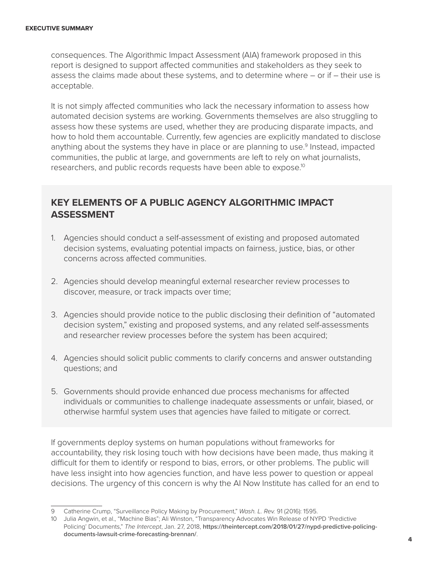consequences. The Algorithmic Impact Assessment (AIA) framework proposed in this report is designed to support affected communities and stakeholders as they seek to assess the claims made about these systems, and to determine where – or if – their use is acceptable.

It is not simply affected communities who lack the necessary information to assess how automated decision systems are working. Governments themselves are also struggling to assess how these systems are used, whether they are producing disparate impacts, and how to hold them accountable. Currently, few agencies are explicitly mandated to disclose anything about the systems they have in place or are planning to use.<sup>9</sup> Instead, impacted communities, the public at large, and governments are left to rely on what journalists, researchers, and public records requests have been able to expose.<sup>10</sup>

## **KEY ELEMENTS OF A PUBLIC AGENCY ALGORITHMIC IMPACT ASSESSMENT**

- 1. Agencies should conduct a self-assessment of existing and proposed automated decision systems, evaluating potential impacts on fairness, justice, bias, or other concerns across affected communities.
- 2. Agencies should develop meaningful external researcher review processes to discover, measure, or track impacts over time;
- 3. Agencies should provide notice to the public disclosing their definition of "automated decision system," existing and proposed systems, and any related self-assessments and researcher review processes before the system has been acquired;
- 4. Agencies should solicit public comments to clarify concerns and answer outstanding questions; and
- 5. Governments should provide enhanced due process mechanisms for affected individuals or communities to challenge inadequate assessments or unfair, biased, or otherwise harmful system uses that agencies have failed to mitigate or correct.

If governments deploy systems on human populations without frameworks for accountability, they risk losing touch with how decisions have been made, thus making it difficult for them to identify or respond to bias, errors, or other problems. The public will have less insight into how agencies function, and have less power to question or appeal decisions. The urgency of this concern is why the AI Now Institute has called for an end to

<sup>9</sup> Catherine Crump, "Surveillance Policy Making by Procurement," *Wash. L. Rev.* 91 (2016): 1595.

<sup>10</sup> Julia Angwin, et al., "Machine Bias"; Ali Winston, "Transparency Advocates Win Release of NYPD 'Predictive Policing' Documents," *The Intercept*, Jan. 27, 2018, **[https://theintercept.com/2018/01/27/nypd-predictive-policing](https://theintercept.com/2018/01/27/nypd-predictive-policing-documents-lawsuit-crime-forecasting-brennan/)[documents-lawsuit-crime-forecasting-brennan/](https://theintercept.com/2018/01/27/nypd-predictive-policing-documents-lawsuit-crime-forecasting-brennan/)**.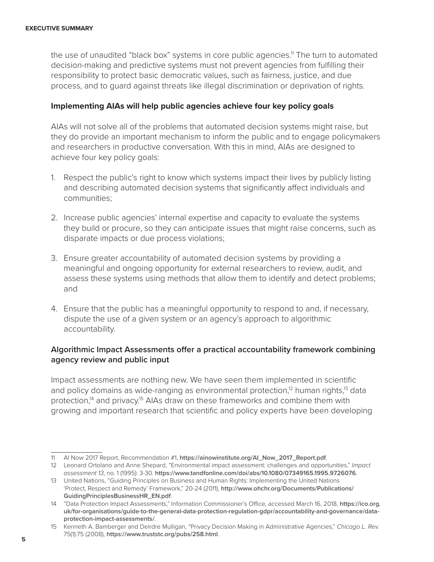the use of unaudited "black box" systems in core public agencies.<sup>11</sup> The turn to automated decision-making and predictive systems must not prevent agencies from fulfilling their responsibility to protect basic democratic values, such as fairness, justice, and due process, and to guard against threats like illegal discrimination or deprivation of rights.

#### **Implementing AIAs will help public agencies achieve four key policy goals**

AIAs will not solve all of the problems that automated decision systems might raise, but they do provide an important mechanism to inform the public and to engage policymakers and researchers in productive conversation. With this in mind, AIAs are designed to achieve four key policy goals:

- 1. Respect the public's right to know which systems impact their lives by publicly listing and describing automated decision systems that significantly affect individuals and communities;
- 2. Increase public agencies' internal expertise and capacity to evaluate the systems they build or procure, so they can anticipate issues that might raise concerns, such as disparate impacts or due process violations;
- 3. Ensure greater accountability of automated decision systems by providing a meaningful and ongoing opportunity for external researchers to review, audit, and assess these systems using methods that allow them to identify and detect problems; and
- 4. Ensure that the public has a meaningful opportunity to respond to and, if necessary, dispute the use of a given system or an agency's approach to algorithmic accountability.

### **Algorithmic Impact Assessments offer a practical accountability framework combining agency review and public input**

Impact assessments are nothing new. We have seen them implemented in scientific and policy domains as wide-ranging as environmental protection, $12$  human rights, $13$  data protection,<sup>14</sup> and privacy.<sup>15</sup> AIAs draw on these frameworks and combine them with growing and important research that scientific and policy experts have been developing

<sup>11</sup> AI Now 2017 Report, Recommendation #1, **[https://ainowinstitute.org/AI\\_Now\\_2017\\_Report.pdf](https://ainowinstitute.org/AI_Now_2017_Report.pdf)**.

<sup>12</sup> Leonard Ortolano and Anne Shepard, "Environmental impact assessment: challenges and opportunities," *Impact assessment 13*, no. 1 (1995): 3-30. **<https://www.tandfonline.com/doi/abs/10.1080/07349165.1995.9726076>**.

<sup>13</sup> United Nations, "Guiding Principles on Business and Human Rights: Implementing the United Nations 'Protect, Respect and Remedy' Framework," 20-24 (2011), **[http://www.ohchr.org/Documents/Publications/](http://www.ohchr.org/Documents/Publications/GuidingPrinciplesBusinessHR_EN.pdf) [GuidingPrinciplesBusinessHR\\_EN.pdf](http://www.ohchr.org/Documents/Publications/GuidingPrinciplesBusinessHR_EN.pdf)**.

<sup>14</sup> "Data Protection Impact Assessments," Information Commissioner's Office, accessed March 16, 2018, **[https://ico.org.](https://ico.org.uk/for-organisations/guide-to-the-general-data-protection-regulation-gdpr/accountability-and-governance/data-protection-impact-assessments/) [uk/for-organisations/guide-to-the-general-data-protection-regulation-gdpr/accountability-and-governance/data](https://ico.org.uk/for-organisations/guide-to-the-general-data-protection-regulation-gdpr/accountability-and-governance/data-protection-impact-assessments/)[protection-impact-assessments/](https://ico.org.uk/for-organisations/guide-to-the-general-data-protection-regulation-gdpr/accountability-and-governance/data-protection-impact-assessments/)**.

<sup>15</sup> Kenneth A. Bamberger and Deirdre Mulligan, "Privacy Decision Making in Administrative Agencies," *Chicago L. Rev.* 75(1):75 (2008), **<https://www.truststc.org/pubs/258.html>**.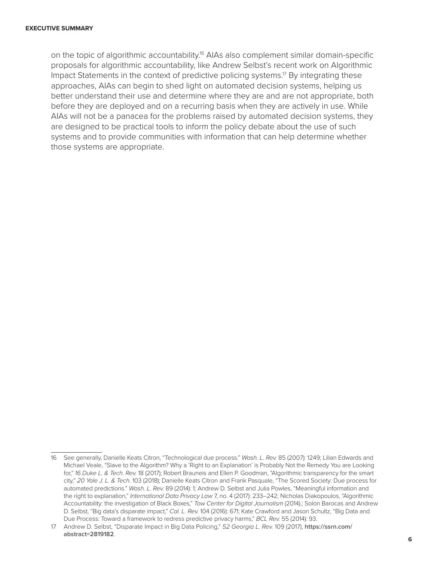on the topic of algorithmic accountability.<sup>16</sup> AIAs also complement similar domain-specific proposals for algorithmic accountability, like Andrew Selbst's recent work on Algorithmic Impact Statements in the context of predictive policing systems.<sup>17</sup> By integrating these approaches, AIAs can begin to shed light on automated decision systems, helping us better understand their use and determine where they are and are not appropriate, both before they are deployed and on a recurring basis when they are actively in use. While AIAs will not be a panacea for the problems raised by automated decision systems, they are designed to be practical tools to inform the policy debate about the use of such systems and to provide communities with information that can help determine whether those systems are appropriate.

<sup>16</sup> See generally, Danielle Keats Citron, "Technological due process." *Wash. L. Rev.* 85 (2007): 1249; Lilian Edwards and Michael Veale, "Slave to the Algorithm? Why a 'Right to an Explanation' is Probably Not the Remedy You are Looking for," *16 Duke L. & Tech. Rev.* 18 (2017); Robert Brauneis and Ellen P. Goodman, "Algorithmic transparency for the smart city," *20 Yale J. L. & Tech.* 103 (2018); Danielle Keats Citron and Frank Pasquale, "The Scored Society: Due process for automated predictions." *Wash. L. Rev.* 89 (2014): 1; Andrew D. Selbst and Julia Powles, "Meaningful information and the right to explanation," *International Data Privacy Law* 7, no. 4 (2017): 233–242; Nicholas Diakopoulos, "Algorithmic Accountability: the investigation of Black Boxes," *Tow Center for Digital Journalism* (2014).; Solon Barocas and Andrew D. Selbst, "Big data's disparate impact," *Cal. L. Rev.* 104 (2016): 671; Kate Crawford and Jason Schultz, "Big Data and Due Process: Toward a framework to redress predictive privacy harms," *BCL Rev.* 55 (2014): 93.

<sup>17</sup> Andrew D. Selbst, "Disparate Impact in Big Data Policing," *52 Georgia L. Rev.* 109 (2017), **[https://ssrn.com/](https://ssrn.com/abstract=2819182) [abstract=2819182](https://ssrn.com/abstract=2819182)**. <sup>6</sup>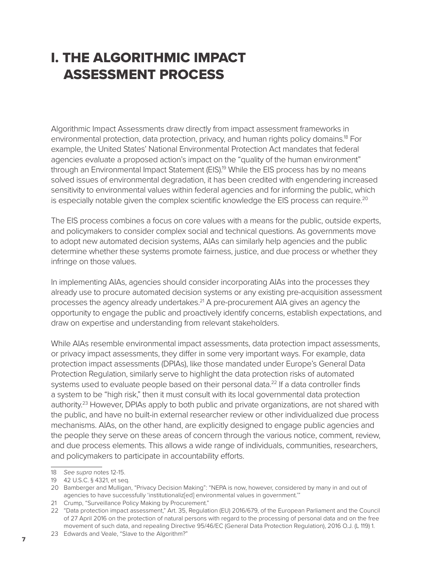# I. THE ALGORITHMIC IMPACT ASSESSMENT PROCESS

Algorithmic Impact Assessments draw directly from impact assessment frameworks in environmental protection, data protection, privacy, and human rights policy domains.18 For example, the United States' National Environmental Protection Act mandates that federal agencies evaluate a proposed action's impact on the "quality of the human environment" through an Environmental Impact Statement (EIS).<sup>19</sup> While the EIS process has by no means solved issues of environmental degradation, it has been credited with engendering increased sensitivity to environmental values within federal agencies and for informing the public, which is especially notable given the complex scientific knowledge the EIS process can require.<sup>20</sup>

The EIS process combines a focus on core values with a means for the public, outside experts, and policymakers to consider complex social and technical questions. As governments move to adopt new automated decision systems, AIAs can similarly help agencies and the public determine whether these systems promote fairness, justice, and due process or whether they infringe on those values.

In implementing AIAs, agencies should consider incorporating AIAs into the processes they already use to procure automated decision systems or any existing pre-acquisition assessment processes the agency already undertakes.<sup>21</sup> A pre-procurement AIA gives an agency the opportunity to engage the public and proactively identify concerns, establish expectations, and draw on expertise and understanding from relevant stakeholders.

While AIAs resemble environmental impact assessments, data protection impact assessments, or privacy impact assessments, they differ in some very important ways. For example, data protection impact assessments (DPIAs), like those mandated under Europe's General Data Protection Regulation, similarly serve to highlight the data protection risks of automated systems used to evaluate people based on their personal data.<sup>22</sup> If a data controller finds a system to be "high risk," then it must consult with its local governmental data protection authority.23 However, DPIAs apply to both public and private organizations, are not shared with the public, and have no built-in external researcher review or other individualized due process mechanisms. AIAs, on the other hand, are explicitly designed to engage public agencies and the people they serve on these areas of concern through the various notice, comment, review, and due process elements. This allows a wide range of individuals, communities, researchers, and policymakers to participate in accountability efforts.

<sup>18</sup> *See supra* notes 12-15.

<sup>19</sup> 42 U.S.C. § 4321, et seq.

<sup>20</sup> Bamberger and Mulligan, "Privacy Decision Making": "NEPA is now, however, considered by many in and out of agencies to have successfully 'institutionaliz[ed] environmental values in government."

<sup>21</sup> Crump, "Surveillance Policy Making by Procurement."

<sup>22</sup> "Data protection impact assessment," Art. 35, Regulation (EU) 2016/679, of the European Parliament and the Council of 27 April 2016 on the protection of natural persons with regard to the processing of personal data and on the free movement of such data, and repealing Directive 95/46/EC (General Data Protection Regulation), 2016 O.J. (L 119) 1.

<sup>23</sup> Edwards and Veale, "Slave to the Algorithm?"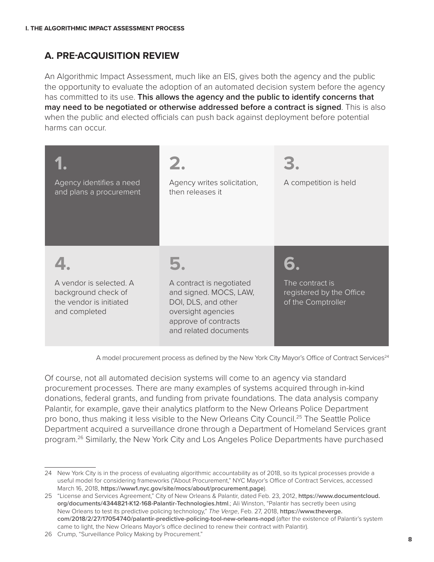## **A. PRE-ACQUISITION REVIEW**

An Algorithmic Impact Assessment, much like an EIS, gives both the agency and the public the opportunity to evaluate the adoption of an automated decision system before the agency has committed to its use. **This allows the agency and the public to identify concerns that may need to be negotiated or otherwise addressed before a contract is signed**. This is also when the public and elected officials can push back against deployment before potential harms can occur.

| Agency identifies a need<br>and plans a procurement                                        | Agency writes solicitation,<br>then releases it                                                                                                  | A competition is held                                             |
|--------------------------------------------------------------------------------------------|--------------------------------------------------------------------------------------------------------------------------------------------------|-------------------------------------------------------------------|
| A vendor is selected. A<br>background check of<br>the vendor is initiated<br>and completed | A contract is negotiated<br>and signed. MOCS, LAW,<br>DOI, DLS, and other<br>oversight agencies<br>approve of contracts<br>and related documents | The contract is<br>registered by the Office<br>of the Comptroller |

A model procurement process as defined by the New York City Mayor's Office of Contract Services<sup>24</sup>

Of course, not all automated decision systems will come to an agency via standard procurement processes. There are many examples of systems acquired through in-kind donations, federal grants, and funding from private foundations. The data analysis company Palantir, for example, gave their analytics platform to the New Orleans Police Department pro bono, thus making it less visible to the New Orleans City Council.<sup>25</sup> The Seattle Police Department acquired a surveillance drone through a Department of Homeland Services grant program.26 Similarly, the New York City and Los Angeles Police Departments have purchased

<sup>24</sup> New York City is in the process of evaluating algorithmic accountability as of 2018, so its typical processes provide a useful model for considering frameworks ("About Procurement," NYC Mayor's Office of Contract Services, accessed March 16, 2018, **https://www1.nyc.gov/site/mocs/about/procurement.page**).

<sup>25</sup> "License and Services Agreement," City of New Orleans & Palantir, dated Feb. 23, 2012, **[https://www.documentcloud.](https://www.documentcloud.org/documents/4344821-K12-168-Palantir-Technologies.html) [org/documents/4344821-K12-168-Palantir-Technologies.html](https://www.documentcloud.org/documents/4344821-K12-168-Palantir-Technologies.html)**.; Ali Winston, "Palantir has secretly been using New Orleans to test its predictive policing technology," *The Verge*, Feb. 27, 2018, **[https://www.theverge.](https://www.theverge.com/2018/2/27/17054740/palantir-predictive-policing-tool-new-orleans-nopd) [com/2018/2/27/17054740/palantir-predictive-policing-tool-new-orleans-nopd](https://www.theverge.com/2018/2/27/17054740/palantir-predictive-policing-tool-new-orleans-nopd)** (after the existence of Palantir's system came to light, the New Orleans Mayor's office declined to renew their contract with Palantir).

<sup>26</sup> Crump, "Surveillance Policy Making by Procurement."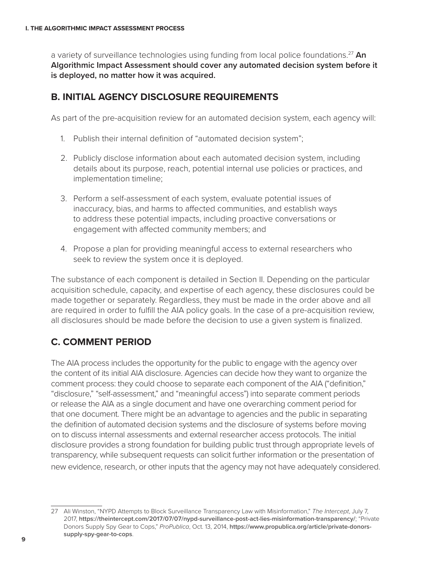a variety of surveillance technologies using funding from local police foundations.27 **An Algorithmic Impact Assessment should cover any automated decision system before it is deployed, no matter how it was acquired.**

### **B. INITIAL AGENCY DISCLOSURE REQUIREMENTS**

As part of the pre-acquisition review for an automated decision system, each agency will:

- 1. Publish their internal definition of "automated decision system";
- 2. Publicly disclose information about each automated decision system, including details about its purpose, reach, potential internal use policies or practices, and implementation timeline;
- 3. Perform a self-assessment of each system, evaluate potential issues of inaccuracy, bias, and harms to affected communities, and establish ways to address these potential impacts, including proactive conversations or engagement with affected community members; and
- 4. Propose a plan for providing meaningful access to external researchers who seek to review the system once it is deployed.

The substance of each component is detailed in Section II. Depending on the particular acquisition schedule, capacity, and expertise of each agency, these disclosures could be made together or separately. Regardless, they must be made in the order above and all are required in order to fulfill the AIA policy goals. In the case of a pre-acquisition review, all disclosures should be made before the decision to use a given system is finalized.

## **C. COMMENT PERIOD**

The AIA process includes the opportunity for the public to engage with the agency over the content of its initial AIA disclosure. Agencies can decide how they want to organize the comment process: they could choose to separate each component of the AIA ("definition," "disclosure," "self-assessment," and "meaningful access") into separate comment periods or release the AIA as a single document and have one overarching comment period for that one document. There might be an advantage to agencies and the public in separating the definition of automated decision systems and the disclosure of systems before moving on to discuss internal assessments and external researcher access protocols. The initial disclosure provides a strong foundation for building public trust through appropriate levels of transparency, while subsequent requests can solicit further information or the presentation of new evidence, research, or other inputs that the agency may not have adequately considered.

<sup>27</sup> Ali Winston, "NYPD Attempts to Block Surveillance Transparency Law with Misinformation," *The Intercept*, July 7, 2017, **<https://theintercept.com/2017/07/07/nypd-surveillance-post-act-lies-misinformation-transparency/>**; "Private Donors Supply Spy Gear to Cops," *ProPublica*, Oct. 13, 2014, **[https://www.propublica.org/article/private-donors](https://www.propublica.org/article/private-donors-supply-spy-gear-to-cops)[supply-spy-gear-to-cops](https://www.propublica.org/article/private-donors-supply-spy-gear-to-cops)**.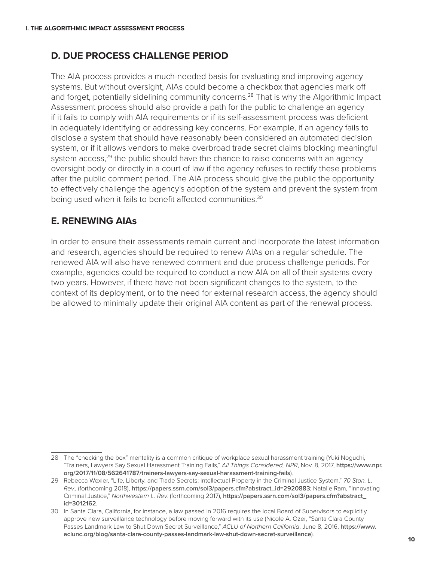## **D. DUE PROCESS CHALLENGE PERIOD**

The AIA process provides a much-needed basis for evaluating and improving agency systems. But without oversight, AIAs could become a checkbox that agencies mark off and forget, potentially sidelining community concerns.<sup>28</sup> That is why the Algorithmic Impact Assessment process should also provide a path for the public to challenge an agency if it fails to comply with AIA requirements or if its self-assessment process was deficient in adequately identifying or addressing key concerns. For example, if an agency fails to disclose a system that should have reasonably been considered an automated decision system, or if it allows vendors to make overbroad trade secret claims blocking meaningful system  $access<sub>1</sub><sup>29</sup>$  the public should have the chance to raise concerns with an agency oversight body or directly in a court of law if the agency refuses to rectify these problems after the public comment period. The AIA process should give the public the opportunity to effectively challenge the agency's adoption of the system and prevent the system from being used when it fails to benefit affected communities.<sup>30</sup>

## **E. RENEWING AIAs**

In order to ensure their assessments remain current and incorporate the latest information and research, agencies should be required to renew AIAs on a regular schedule. The renewed AIA will also have renewed comment and due process challenge periods. For example, agencies could be required to conduct a new AIA on all of their systems every two years. However, if there have not been significant changes to the system, to the context of its deployment, or to the need for external research access, the agency should be allowed to minimally update their original AIA content as part of the renewal process.

<sup>28</sup> The "checking the box" mentality is a common critique of workplace sexual harassment training (Yuki Noguchi, "Trainers, Lawyers Say Sexual Harassment Training Fails," *All Things Considered, NPR*, Nov. 8, 2017, **[https://www.npr.](https://www.npr.org/2017/11/08/562641787/trainers-lawyers-say-sexual-harassment-training-fails) [org/2017/11/08/562641787/trainers-lawyers-say-sexual-harassment-training-fails](https://www.npr.org/2017/11/08/562641787/trainers-lawyers-say-sexual-harassment-training-fails)**).

<sup>29</sup> Rebecca Wexler, "Life, Liberty, and Trade Secrets: Intellectual Property in the Criminal Justice System," *70 Stan. L. Rev.*, (forthcoming 2018), **[https://papers.ssrn.com/sol3/papers.cfm?abstract\\_id=2920883](https://papers.ssrn.com/sol3/papers.cfm?abstract_id=2920883)**; Natalie Ram, "Innovating Criminal Justice," *Northwestern L. Rev.* (forthcoming 2017), **[https://papers.ssrn.com/sol3/papers.cfm?abstract\\_](https://papers.ssrn.com/sol3/papers.cfm?abstract_id=3012162) [id=3012162](https://papers.ssrn.com/sol3/papers.cfm?abstract_id=3012162)**.

<sup>30</sup> In Santa Clara, California, for instance, a law passed in 2016 requires the local Board of Supervisors to explicitly approve new surveillance technology before moving forward with its use (Nicole A. Ozer, "Santa Clara County Passes Landmark Law to Shut Down Secret Surveillance," *ACLU of Northern California*, June 8, 2016, **[https://www.](https://www.aclunc.org/blog/santa-clara-county-passes-landmark-law-shut-down-secret-surveillance) [aclunc.org/blog/santa-clara-county-passes-landmark-law-shut-down-secret-surveillance](https://www.aclunc.org/blog/santa-clara-county-passes-landmark-law-shut-down-secret-surveillance)**).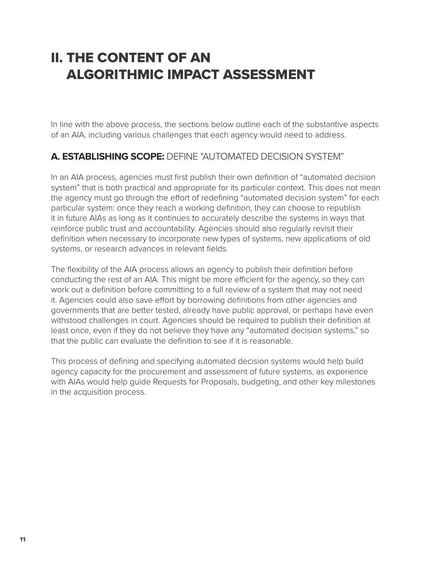# II. THE CONTENT OF AN ALGORITHMIC IMPACT ASSESSMENT

In line with the above process, the sections below outline each of the substantive aspects of an AIA, including various challenges that each agency would need to address.

## **A. ESTABLISHING SCOPE:** DEFINE "AUTOMATED DECISION SYSTEM"

In an AIA process, agencies must first publish their own definition of "automated decision system" that is both practical and appropriate for its particular context. This does not mean the agency must go through the effort of redefining "automated decision system" for each particular system: once they reach a working definition, they can choose to republish it in future AIAs as long as it continues to accurately describe the systems in ways that reinforce public trust and accountability. Agencies should also regularly revisit their definition when necessary to incorporate new types of systems, new applications of old systems, or research advances in relevant fields.

The flexibility of the AIA process allows an agency to publish their definition before conducting the rest of an AIA. This might be more efficient for the agency, so they can work out a definition before committing to a full review of a system that may not need it. Agencies could also save effort by borrowing definitions from other agencies and governments that are better tested, already have public approval, or perhaps have even withstood challenges in court. Agencies should be required to publish their definition at least once, even if they do not believe they have any "automated decision systems," so that the public can evaluate the definition to see if it is reasonable.

This process of defining and specifying automated decision systems would help build agency capacity for the procurement and assessment of future systems, as experience with AIAs would help guide Requests for Proposals, budgeting, and other key milestones in the acquisition process.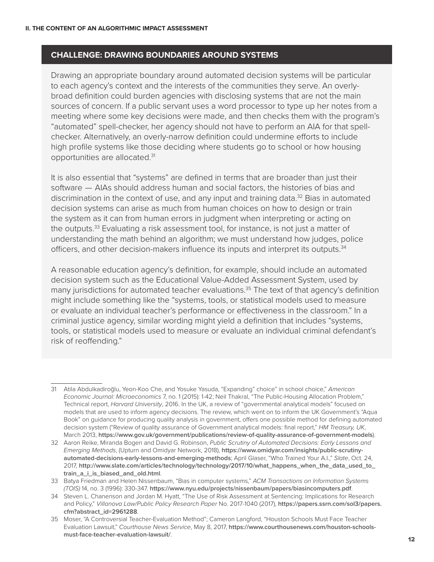#### **CHALLENGE: DRAWING BOUNDARIES AROUND SYSTEMS**

Drawing an appropriate boundary around automated decision systems will be particular to each agency's context and the interests of the communities they serve. An overlybroad definition could burden agencies with disclosing systems that are not the main sources of concern. If a public servant uses a word processor to type up her notes from a meeting where some key decisions were made, and then checks them with the program's "automated" spell-checker, her agency should not have to perform an AIA for that spellchecker. Alternatively, an overly-narrow definition could undermine efforts to include high profile systems like those deciding where students go to school or how housing opportunities are allocated.31

It is also essential that "systems" are defined in terms that are broader than just their software – AIAs should address human and social factors, the histories of bias and discrimination in the context of use, and any input and training data.<sup>32</sup> Bias in automated decision systems can arise as much from human choices on how to design or train the system as it can from human errors in judgment when interpreting or acting on the outputs.<sup>33</sup> Evaluating a risk assessment tool, for instance, is not just a matter of understanding the math behind an algorithm; we must understand how judges, police officers, and other decision-makers influence its inputs and interpret its outputs.34

A reasonable education agency's definition, for example, should include an automated decision system such as the Educational Value-Added Assessment System, used by many jurisdictions for automated teacher evaluations.<sup>35</sup> The text of that agency's definition might include something like the "systems, tools, or statistical models used to measure or evaluate an individual teacher's performance or effectiveness in the classroom." In a criminal justice agency, similar wording might yield a definition that includes "systems, tools, or statistical models used to measure or evaluate an individual criminal defendant's risk of reoffending."

<sup>31</sup> Atila Abdulkadiroğlu, Yeon-Koo Che, and Yosuke Yasuda, "Expanding" choice" in school choice," *American Economic Journal: Microeconomics* 7, no. 1 (2015): 1-42; Neil Thakral, "The Public-Housing Allocation Problem," Technical report, *Harvard University*, 2016. In the UK, a review of "governmental analytical models" focused on models that are used to inform agency decisions. The review, which went on to inform the UK Government's "Aqua Book" on guidance for producing quality analysis in government, offers one possible method for defining automated decision system ("Review of quality assurance of Government analytical models: final report," *HM Treasury, UK*, March 2013, **<https://www.gov.uk/government/publications/review-of-quality-assurance-of-government-models>**).

<sup>32</sup> Aaron Reike, Miranda Bogen and David G. Robinson, *Public Scrutiny of Automated Decisions: Early Lessons and Emerging Methods*, (Upturn and Omidyar Network, 2018), **[https://www.omidyar.com/insights/public-scrutiny](https://www.omidyar.com/insights/public-scrutiny-automated-decisions-early-lessons-and-emerging-methods)[automated-decisions-early-lessons-and-emerging-methods](https://www.omidyar.com/insights/public-scrutiny-automated-decisions-early-lessons-and-emerging-methods)**; April Glaser, "Who Trained Your A.I.," *Slate*, Oct. 24, 2017, **[http://www.slate.com/articles/technology/technology/2017/10/what\\_happens\\_when\\_the\\_data\\_used\\_to\\_](http://www.slate.com/articles/technology/technology/2017/10/what_happens_when_the_data_used_to_train_a_i_is_biased_and_old.html) [train\\_a\\_i\\_is\\_biased\\_and\\_old.html](http://www.slate.com/articles/technology/technology/2017/10/what_happens_when_the_data_used_to_train_a_i_is_biased_and_old.html)**.

<sup>33</sup> Batya Friedman and Helen Nissenbaum, "Bias in computer systems," *ACM Transactions on Information Systems (TOIS)* 14, no. 3 (1996): 330-347. **<https://www.nyu.edu/projects/nissenbaum/papers/biasincomputers.pdf>**.

<sup>34</sup> Steven L. Chanenson and Jordan M. Hyatt, "The Use of Risk Assessment at Sentencing: Implications for Research and Policy," *Villanova Law/Public Policy Research Paper* No. 2017-1040 (2017), **[https://papers.ssrn.com/sol3/papers.](https://papers.ssrn.com/sol3/papers.cfm?abstract_id=2961288) [cfm?abstract\\_id=2961288](https://papers.ssrn.com/sol3/papers.cfm?abstract_id=2961288)**.

<sup>35</sup> Moser, "A Controversial Teacher-Evaluation Method"; Cameron Langford, "Houston Schools Must Face Teacher Evaluation Lawsuit," *Courthouse News Service*, May 8, 2017, **[https://www.courthousenews.com/houston-schools](https://www.courthousenews.com/houston-schools-must-face-teacher-evaluation-lawsuit/)[must-face-teacher-evaluation-lawsuit/](https://www.courthousenews.com/houston-schools-must-face-teacher-evaluation-lawsuit/)**.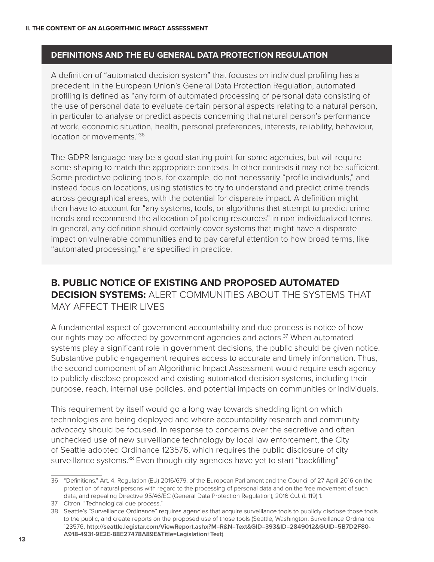### **DEFINITIONS AND THE EU GENERAL DATA PROTECTION REGULATION**

A definition of "automated decision system" that focuses on individual profiling has a precedent. In the European Union's General Data Protection Regulation, automated profiling is defined as "any form of automated processing of personal data consisting of the use of personal data to evaluate certain personal aspects relating to a natural person, in particular to analyse or predict aspects concerning that natural person's performance at work, economic situation, health, personal preferences, interests, reliability, behaviour, location or movements."36

The GDPR language may be a good starting point for some agencies, but will require some shaping to match the appropriate contexts. In other contexts it may not be sufficient. Some predictive policing tools, for example, do not necessarily "profile individuals," and instead focus on locations, using statistics to try to understand and predict crime trends across geographical areas, with the potential for disparate impact. A definition might then have to account for "any systems, tools, or algorithms that attempt to predict crime trends and recommend the allocation of policing resources" in non-individualized terms. In general, any definition should certainly cover systems that might have a disparate impact on vulnerable communities and to pay careful attention to how broad terms, like "automated processing," are specified in practice.

## **B. PUBLIC NOTICE OF EXISTING AND PROPOSED AUTOMATED DECISION SYSTEMS:** ALERT COMMUNITIES ABOUT THE SYSTEMS THAT MAY AFFECT THEIR LIVES

A fundamental aspect of government accountability and due process is notice of how our rights may be affected by government agencies and actors.<sup>37</sup> When automated systems play a significant role in government decisions, the public should be given notice. Substantive public engagement requires access to accurate and timely information. Thus, the second component of an Algorithmic Impact Assessment would require each agency to publicly disclose proposed and existing automated decision systems, including their purpose, reach, internal use policies, and potential impacts on communities or individuals.

This requirement by itself would go a long way towards shedding light on which technologies are being deployed and where accountability research and community advocacy should be focused. In response to concerns over the secretive and often unchecked use of new surveillance technology by local law enforcement, the City of Seattle adopted Ordinance 123576, which requires the public disclosure of city surveillance systems.<sup>38</sup> Even though city agencies have yet to start "backfilling"

<sup>36</sup> "Definitions," Art. 4, Regulation (EU) 2016/679, of the European Parliament and the Council of 27 April 2016 on the protection of natural persons with regard to the processing of personal data and on the free movement of such data, and repealing Directive 95/46/EC (General Data Protection Regulation), 2016 O.J. (L 119) 1.

<sup>37</sup> Citron, "Technological due process."

<sup>38</sup> Seattle's "Surveillance Ordinance" requires agencies that acquire surveillance tools to publicly disclose those tools to the public, and create reports on the proposed use of those tools (Seattle, Washington, Surveillance Ordinance 123576, **[http://seattle.legistar.com/ViewReport.ashx?M=R&N=Text&GID=393&ID=2849012&GUID=5B7D2F80-](http://seattle.legistar.com/ViewReport.ashx?M=R&N=Text&GID=393&ID=2849012&GUID=5B7D2F80-A918-4931-9E2E-88E27478A89E&Title=Legislation+Text) [A918-4931-9E2E-88E27478A89E&Title=Legislation+Text](http://seattle.legistar.com/ViewReport.ashx?M=R&N=Text&GID=393&ID=2849012&GUID=5B7D2F80-A918-4931-9E2E-88E27478A89E&Title=Legislation+Text)**).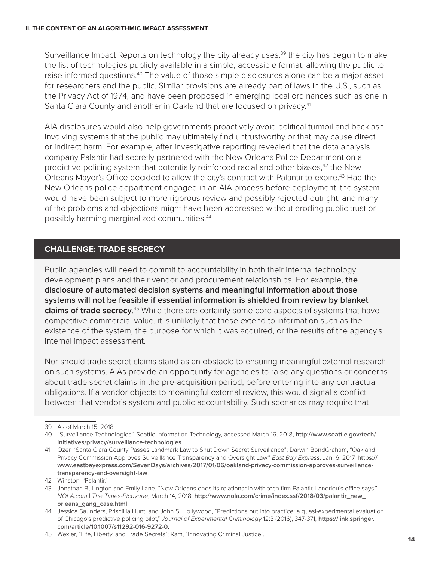Surveillance Impact Reports on technology the city already uses,<sup>39</sup> the city has begun to make the list of technologies publicly available in a simple, accessible format, allowing the public to raise informed questions.<sup>40</sup> The value of those simple disclosures alone can be a major asset for researchers and the public. Similar provisions are already part of laws in the U.S., such as the Privacy Act of 1974, and have been proposed in emerging local ordinances such as one in Santa Clara County and another in Oakland that are focused on privacy.41

AIA disclosures would also help governments proactively avoid political turmoil and backlash involving systems that the public may ultimately find untrustworthy or that may cause direct or indirect harm. For example, after investigative reporting revealed that the data analysis company Palantir had secretly partnered with the New Orleans Police Department on a predictive policing system that potentially reinforced racial and other biases,<sup>42</sup> the New Orleans Mayor's Office decided to allow the city's contract with Palantir to expire.<sup>43</sup> Had the New Orleans police department engaged in an AIA process before deployment, the system would have been subject to more rigorous review and possibly rejected outright, and many of the problems and objections might have been addressed without eroding public trust or possibly harming marginalized communities.44

### **CHALLENGE: TRADE SECRECY**

Public agencies will need to commit to accountability in both their internal technology development plans and their vendor and procurement relationships. For example, **the disclosure of automated decision systems and meaningful information about those systems will not be feasible if essential information is shielded from review by blanket claims of trade secrecy**. 45 While there are certainly some core aspects of systems that have competitive commercial value, it is unlikely that these extend to information such as the existence of the system, the purpose for which it was acquired, or the results of the agency's internal impact assessment.

Nor should trade secret claims stand as an obstacle to ensuring meaningful external research on such systems. AIAs provide an opportunity for agencies to raise any questions or concerns about trade secret claims in the pre-acquisition period, before entering into any contractual obligations. If a vendor objects to meaningful external review, this would signal a conflict between that vendor's system and public accountability. Such scenarios may require that

<sup>39</sup> As of March 15, 2018.

<sup>40</sup> "Surveillance Technologies," Seattle Information Technology, accessed March 16, 2018, **[http://www.seattle.gov/tech/](http://www.seattle.gov/tech/initiatives/privacy/surveillance-technologies) [initiatives/privacy/surveillance-technologies](http://www.seattle.gov/tech/initiatives/privacy/surveillance-technologies)**.

<sup>41</sup> Ozer, "Santa Clara County Passes Landmark Law to Shut Down Secret Surveillance"; Darwin BondGraham, "Oakland Privacy Commission Approves Surveillance Transparency and Oversight Law," *East Bay Express*, Jan. 6, 2017, **[https://](https://www.eastbayexpress.com/SevenDays/archives/2017/01/06/oakland-privacy-commission-approves-surveillance-transparency-and-oversight-law) [www.eastbayexpress.com/SevenDays/archives/2017/01/06/oakland-privacy-commission-approves-surveillance](https://www.eastbayexpress.com/SevenDays/archives/2017/01/06/oakland-privacy-commission-approves-surveillance-transparency-and-oversight-law)[transparency-and-oversight-law](https://www.eastbayexpress.com/SevenDays/archives/2017/01/06/oakland-privacy-commission-approves-surveillance-transparency-and-oversight-law)**.

<sup>42</sup> Winston, "Palantir."

<sup>43</sup> Jonathan Bullington and Emily Lane, "New Orleans ends its relationship with tech firm Palantir, Landrieu's office says," *NOLA.com* | *The Times-Picayune*, March 14, 2018, **[http://www.nola.com/crime/index.ssf/2018/03/palantir\\_new\\_](http://www.nola.com/crime/index.ssf/2018/03/palantir_new_orleans_gang_case.html) [orleans\\_gang\\_case.html](http://www.nola.com/crime/index.ssf/2018/03/palantir_new_orleans_gang_case.html)**.

<sup>44</sup> Jessica Saunders, Priscillia Hunt, and John S. Hollywood, "Predictions put into practice: a quasi-experimental evaluation of Chicago's predictive policing pilot," *Journal of Experimental Criminology* 12:3 (2016), 347-371, **[https://link.springer.](https://link.springer.com/article/10.1007/s11292-016-9272-0) [com/article/10.1007/s11292-016-9272-0](https://link.springer.com/article/10.1007/s11292-016-9272-0)**.

<sup>45</sup> Wexler, "Life, Liberty, and Trade Secrets"; Ram, "Innovating Criminal Justice".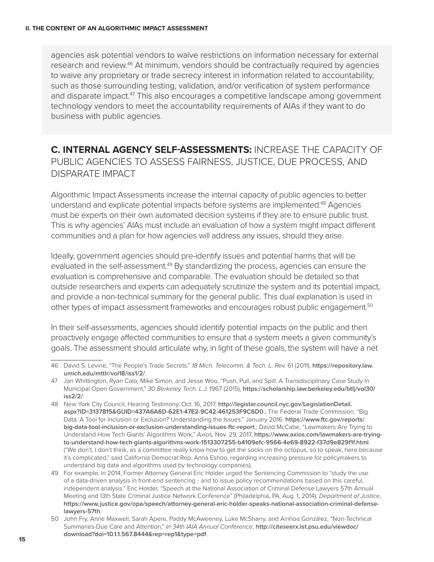agencies ask potential vendors to waive restrictions on information necessary for external research and review.<sup>46</sup> At minimum, vendors should be contractually required by agencies to waive any proprietary or trade secrecy interest in information related to accountability, such as those surrounding testing, validation, and/or verification of system performance and disparate impact.<sup>47</sup> This also encourages a competitive landscape among government technology vendors to meet the accountability requirements of AIAs if they want to do business with public agencies.

## **C. INTERNAL AGENCY SELF-ASSESSMENTS:** INCREASE THE CAPACITY OF PUBLIC AGENCIES TO ASSESS FAIRNESS, JUSTICE, DUE PROCESS, AND DISPARATE IMPACT

Algorithmic Impact Assessments increase the internal capacity of public agencies to better understand and explicate potential impacts before systems are implemented.48 Agencies must be experts on their own automated decision systems if they are to ensure public trust. This is why agencies' AIAs must include an evaluation of how a system might impact different communities and a plan for how agencies will address any issues, should they arise.

Ideally, government agencies should pre-identify issues and potential harms that will be evaluated in the self-assessment.<sup>49</sup> By standardizing the process, agencies can ensure the evaluation is comprehensive and comparable. The evaluation should be detailed so that outside researchers and experts can adequately scrutinize the system and its potential impact, and provide a non-technical summary for the general public. This dual explanation is used in other types of impact assessment frameworks and encourages robust public engagement.<sup>50</sup>

In their self-assessments, agencies should identify potential impacts on the public and then proactively engage affected communities to ensure that a system meets a given community's goals. The assessment should articulate why, in light of these goals, the system will have a net

<sup>46</sup> David S. Levine, "The People's Trade Secrets," *18 Mich. Telecomm. & Tech. L. Rev.* 61 (2011), **[https://repository.law.](https://repository.law.umich.edu/mttlr/vol18/iss1/2/) [umich.edu/mttlr/vol18/iss1/2/](https://repository.law.umich.edu/mttlr/vol18/iss1/2/)**.

<sup>47</sup> Jan Whittington, Ryan Calo, Mike Simon, and Jesse Woo, "Push, Pull, and Spill: A Transdisciplinary Case Study In Municipal Open Government," *30 Berkeley Tech. L.J.* 1967 (2015), **[https://scholarship.law.berkeley.edu/btlj/vol30/](https://scholarship.law.berkeley.edu/btlj/vol30/iss2/2/) [iss2/2/](https://scholarship.law.berkeley.edu/btlj/vol30/iss2/2/)**.

<sup>48</sup> New York City Council, Hearing Testimony, Oct. 16, 2017, **[http://legistar.council.nyc.gov/LegislationDetail.](http://legistar.council.nyc.gov/LegislationDetail.aspx?ID=3137815&GUID=437A6A6D-62E1-47E2-9C42-461253F9C6D0) [aspx?ID=3137815&GUID=437A6A6D-62E1-47E2-9C42-461253F9C6D0](http://legistar.council.nyc.gov/LegislationDetail.aspx?ID=3137815&GUID=437A6A6D-62E1-47E2-9C42-461253F9C6D0)**.; The Federal Trade Commission. "Big Data: A Tool for Inclusion or Exclusion? Understanding the Issues." January 2016. **[https://www.ftc.gov/reports/](https://www.ftc.gov/reports/big-data-tool-inclusion-or-exclusion-understanding-issues-ftc-report) [big-data-tool-inclusion-or-exclusion-understanding-issues-ftc-report](https://www.ftc.gov/reports/big-data-tool-inclusion-or-exclusion-understanding-issues-ftc-report)**.; David McCabe, "Lawmakers Are Trying to Understand How Tech Giants' Algorithms Work," *Axios,* Nov. 29, 2017, **[https://www.axios.com/lawmakers-are-trying](https://www.axios.com/lawmakers-are-trying-to-understand-how-tech-giants-algorithms-work-1513307255-b4109efc-9566-4e69-8922-f37d9e829f1f.html)[to-understand-how-tech-giants-algorithms-work-1513307255-b4109efc-9566-4e69-8922-f37d9e829f1f.html](https://www.axios.com/lawmakers-are-trying-to-understand-how-tech-giants-algorithms-work-1513307255-b4109efc-9566-4e69-8922-f37d9e829f1f.html)**. ("We don't, I don't think, as a committee really know how to get the socks on the octopus, so to speak, here because it's complicated," said California Democrat Rep. Anna Eshoo, regarding increasing pressure for policymakers to understand big data and algorithms used by technology companies).

<sup>49</sup> For example, in 2014, Former Attorney General Eric Holder urged the Sentencing Commission to "study the use of a data-driven analysis in front-end sentencing - and to issue policy recommendations based on this careful, independent analysis." Eric Holder, "Speech at the National Association of Criminal Defense Lawyers 57th Annual Meeting and 13th State Criminal Justice Network Conference" (Philadelphia, PA, Aug. 1, 2014), *Department of Justice*, **[https://www.justice.gov/opa/speech/attorney-general-eric-holder-speaks-national-association-criminal-defense](https://www.justice.gov/opa/speech/attorney-general-eric-holder-speaks-national-association-criminal-defense-lawyers-57th)[lawyers-57th](https://www.justice.gov/opa/speech/attorney-general-eric-holder-speaks-national-association-criminal-defense-lawyers-57th)**.

<sup>50</sup> John Fry, Anne Maxwell, Sarah Apere, Paddy McAweeney, Luke McSharry, and Ainhoa González, "Non-Technical Summaries-Due Care and Attention," *In 34th IAIA Annual Conference*, **[http://citeseerx.ist.psu.edu/viewdoc/](http://citeseerx.ist.psu.edu/viewdoc/download?doi=10.1.1.567.8444&rep=rep1&type=pdf) [download?doi=10.1.1.567.8444&rep=rep1&type=pdf](http://citeseerx.ist.psu.edu/viewdoc/download?doi=10.1.1.567.8444&rep=rep1&type=pdf)**.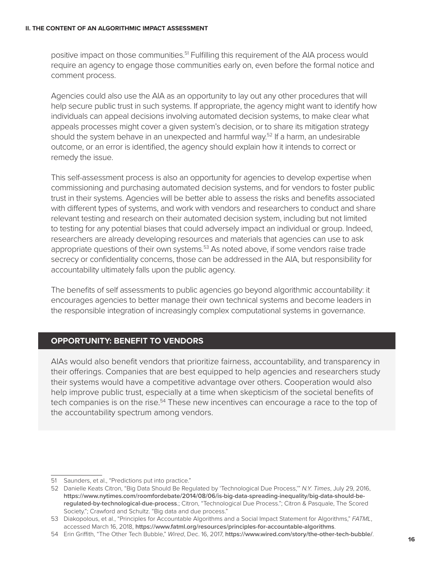#### **II. THE CONTENT OF AN ALGORITHMIC IMPACT ASSESSMENT**

positive impact on those communities.<sup>51</sup> Fulfilling this requirement of the AIA process would require an agency to engage those communities early on, even before the formal notice and comment process.

Agencies could also use the AIA as an opportunity to lay out any other procedures that will help secure public trust in such systems. If appropriate, the agency might want to identify how individuals can appeal decisions involving automated decision systems, to make clear what appeals processes might cover a given system's decision, or to share its mitigation strategy should the system behave in an unexpected and harmful way.<sup>52</sup> If a harm, an undesirable outcome, or an error is identified, the agency should explain how it intends to correct or remedy the issue.

This self-assessment process is also an opportunity for agencies to develop expertise when commissioning and purchasing automated decision systems, and for vendors to foster public trust in their systems. Agencies will be better able to assess the risks and benefits associated with different types of systems, and work with vendors and researchers to conduct and share relevant testing and research on their automated decision system, including but not limited to testing for any potential biases that could adversely impact an individual or group. Indeed, researchers are already developing resources and materials that agencies can use to ask appropriate questions of their own systems.<sup>53</sup> As noted above, if some vendors raise trade secrecy or confidentiality concerns, those can be addressed in the AIA, but responsibility for accountability ultimately falls upon the public agency.

The benefits of self assessments to public agencies go beyond algorithmic accountability: it encourages agencies to better manage their own technical systems and become leaders in the responsible integration of increasingly complex computational systems in governance.

### **OPPORTUNITY: BENEFIT TO VENDORS**

AIAs would also benefit vendors that prioritize fairness, accountability, and transparency in their offerings. Companies that are best equipped to help agencies and researchers study their systems would have a competitive advantage over others. Cooperation would also help improve public trust, especially at a time when skepticism of the societal benefits of tech companies is on the rise.<sup>54</sup> These new incentives can encourage a race to the top of the accountability spectrum among vendors.

<sup>51</sup> Saunders, et al., "Predictions put into practice."

<sup>52</sup> Danielle Keats Citron, "Big Data Should Be Regulated by 'Technological Due Process,'" *N.Y. Times*, July 29, 2016, **[https://www.nytimes.com/roomfordebate/2014/08/06/is-big-data-spreading-inequality/big-data-should-be](https://www.nytimes.com/roomfordebate/2014/08/06/is-big-data-spreading-inequality/big-data-should-be-regulated-by-technological-due-process)[regulated-by-technological-due-process](https://www.nytimes.com/roomfordebate/2014/08/06/is-big-data-spreading-inequality/big-data-should-be-regulated-by-technological-due-process)**.; Citron, "Technological Due Process."; Citron & Pasquale, The Scored Society."; Crawford and Schultz. "Big data and due process."

<sup>53</sup> Diakopolous, et al., "Principles for Accountable Algorithms and a Social Impact Statement for Algorithms," *FATML*, accessed March 16, 2018, **<https://www.fatml.org/resources/principles-for-accountable-algorithms>**.

<sup>54</sup> Erin Griffith, "The Other Tech Bubble," *Wired*, Dec. 16, 2017, **<https://www.wired.com/story/the-other-tech-bubble/>**.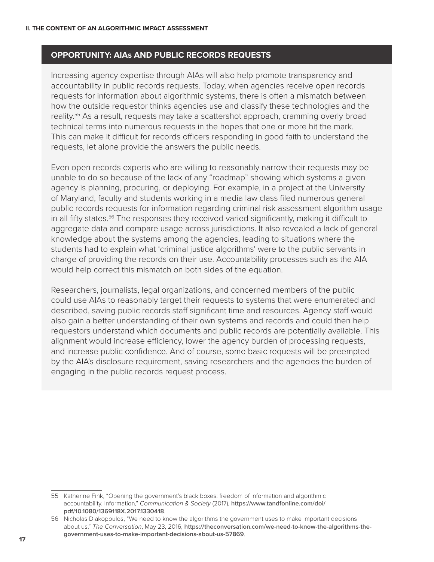#### **OPPORTUNITY: AIAs AND PUBLIC RECORDS REQUESTS**

Increasing agency expertise through AIAs will also help promote transparency and accountability in public records requests. Today, when agencies receive open records requests for information about algorithmic systems, there is often a mismatch between how the outside requestor thinks agencies use and classify these technologies and the reality.55 As a result, requests may take a scattershot approach, cramming overly broad technical terms into numerous requests in the hopes that one or more hit the mark. This can make it difficult for records officers responding in good faith to understand the requests, let alone provide the answers the public needs.

Even open records experts who are willing to reasonably narrow their requests may be unable to do so because of the lack of any "roadmap" showing which systems a given agency is planning, procuring, or deploying. For example, in a project at the University of Maryland, faculty and students working in a media law class filed numerous general public records requests for information regarding criminal risk assessment algorithm usage in all fifty states.<sup>56</sup> The responses they received varied significantly, making it difficult to aggregate data and compare usage across jurisdictions. It also revealed a lack of general knowledge about the systems among the agencies, leading to situations where the students had to explain what 'criminal justice algorithms' were to the public servants in charge of providing the records on their use. Accountability processes such as the AIA would help correct this mismatch on both sides of the equation.

Researchers, journalists, legal organizations, and concerned members of the public could use AIAs to reasonably target their requests to systems that were enumerated and described, saving public records staff significant time and resources. Agency staff would also gain a better understanding of their own systems and records and could then help requestors understand which documents and public records are potentially available. This alignment would increase efficiency, lower the agency burden of processing requests, and increase public confidence. And of course, some basic requests will be preempted by the AIA's disclosure requirement, saving researchers and the agencies the burden of engaging in the public records request process.

<sup>55</sup> Katherine Fink, "Opening the government's black boxes: freedom of information and algorithmic accountability, Information," *Communication & Society* (2017), **[https://www.tandfonline.com/doi/](https://www.tandfonline.com/doi/pdf/10.1080/1369118X.2017.1330418) [pdf/10.1080/1369118X.2017.1330418](https://www.tandfonline.com/doi/pdf/10.1080/1369118X.2017.1330418)**.

<sup>56</sup> Nicholas Diakopoulos, "We need to know the algorithms the government uses to make important decisions about us," *The Conversation*, May 23, 2016, **[https://theconversation.com/we-need-to-know-the-algorithms-the](https://theconversation.com/we-need-to-know-the-algorithms-the-government-uses-to-make-important-decisions-about-us-57869)[government-uses-to-make-important-decisions-about-us-57869](https://theconversation.com/we-need-to-know-the-algorithms-the-government-uses-to-make-important-decisions-about-us-57869)**.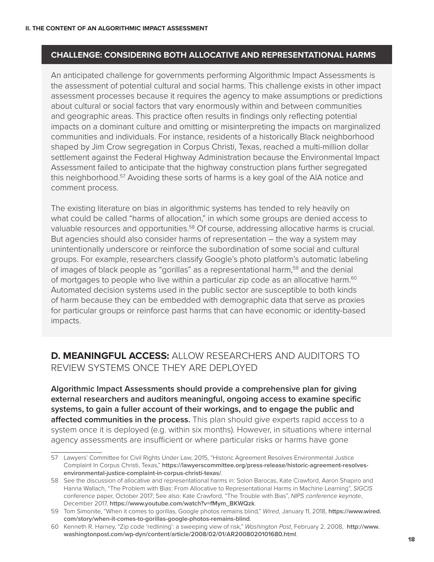#### **CHALLENGE: CONSIDERING BOTH ALLOCATIVE AND REPRESENTATIONAL HARMS**

An anticipated challenge for governments performing Algorithmic Impact Assessments is the assessment of potential cultural and social harms. This challenge exists in other impact assessment processes because it requires the agency to make assumptions or predictions about cultural or social factors that vary enormously within and between communities and geographic areas. This practice often results in findings only reflecting potential impacts on a dominant culture and omitting or misinterpreting the impacts on marginalized communities and individuals. For instance, residents of a historically Black neighborhood shaped by Jim Crow segregation in Corpus Christi, Texas, reached a multi-million dollar settlement against the Federal Highway Administration because the Environmental Impact Assessment failed to anticipate that the highway construction plans further segregated this neighborhood.<sup>57</sup> Avoiding these sorts of harms is a key goal of the AIA notice and comment process.

The existing literature on bias in algorithmic systems has tended to rely heavily on what could be called "harms of allocation," in which some groups are denied access to valuable resources and opportunities.<sup>58</sup> Of course, addressing allocative harms is crucial. But agencies should also consider harms of representation – the way a system may unintentionally underscore or reinforce the subordination of some social and cultural groups. For example, researchers classify Google's photo platform's automatic labeling of images of black people as "gorillas" as a representational harm,59 and the denial of mortgages to people who live within a particular zip code as an allocative harm.<sup>60</sup> Automated decision systems used in the public sector are susceptible to both kinds of harm because they can be embedded with demographic data that serve as proxies for particular groups or reinforce past harms that can have economic or identity-based impacts.

## **D. MEANINGFUL ACCESS:** ALLOW RESEARCHERS AND AUDITORS TO REVIEW SYSTEMS ONCE THEY ARE DEPLOYED

**Algorithmic Impact Assessments should provide a comprehensive plan for giving external researchers and auditors meaningful, ongoing access to examine specific systems, to gain a fuller account of their workings, and to engage the public and affected communities in the process.** This plan should give experts rapid access to a system once it is deployed (e.g. within six months). However, in situations where internal agency assessments are insufficient or where particular risks or harms have gone

<sup>57</sup> Lawyers' Committee for Civil Rights Under Law, 2015, "Historic Agreement Resolves Environmental Justice Complaint In Corpus Christi, Texas," **[https://lawyerscommittee.org/press-release/historic-agreement-resolves](https://lawyerscommittee.org/press-release/historic-agreement-resolves-environmental-justice-complaint-in-corpus-christi-texas/)[environmental-justice-complaint-in-corpus-christi-texas/](https://lawyerscommittee.org/press-release/historic-agreement-resolves-environmental-justice-complaint-in-corpus-christi-texas/)**.

<sup>58</sup> See the discussion of allocative and representational harms in: Solon Barocas, Kate Crawford, Aaron Shapiro and Hanna Wallach, "The Problem with Bias: From Allocative to Representational Harms in Machine Learning", *SIGCIS* conference paper, October 2017; See also: Kate Crawford, "The Trouble with Bias", *NIPS conference keynote*, December 2017, **[https://www.youtube.com/watch?v=fMym\\_BKWQzk](https://www.youtube.com/watch?v=fMym_BKWQzk)**.

<sup>59</sup> Tom Simonite, "When it comes to gorillas, Google photos remains blind," *Wired*, January 11, 2018, **[https://www.wired.](https://www.wired.com/story/when-it-comes-to-gorillas-google-photos-remains-blind) [com/story/when-it-comes-to-gorillas-google-photos-remains-blind](https://www.wired.com/story/when-it-comes-to-gorillas-google-photos-remains-blind)**.

<sup>60</sup> Kenneth R. Harney, "Zip code 'redlining': a sweeping view of risk," *Washington Post*, February 2, 2008, **[http://www.](http://www.washingtonpost.com/wp-dyn/content/article/2008/02/01/AR2008020101680.html) [washingtonpost.com/wp-dyn/content/article/2008/02/01/AR2008020101680.html](http://www.washingtonpost.com/wp-dyn/content/article/2008/02/01/AR2008020101680.html)**.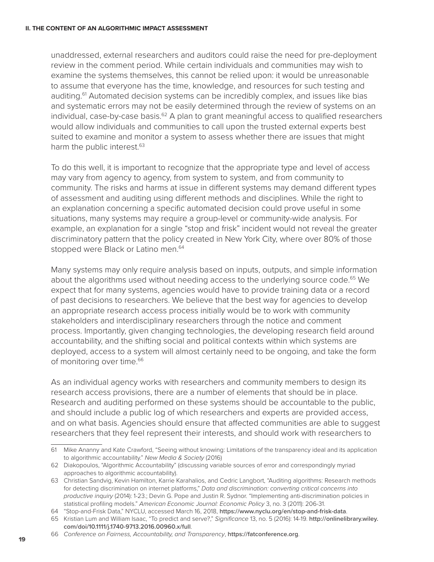#### **II. THE CONTENT OF AN ALGORITHMIC IMPACT ASSESSMENT**

unaddressed, external researchers and auditors could raise the need for pre-deployment review in the comment period. While certain individuals and communities may wish to examine the systems themselves, this cannot be relied upon: it would be unreasonable to assume that everyone has the time, knowledge, and resources for such testing and auditing.<sup>61</sup> Automated decision systems can be incredibly complex, and issues like bias and systematic errors may not be easily determined through the review of systems on an individual, case-by-case basis. $62$  A plan to grant meaningful access to qualified researchers would allow individuals and communities to call upon the trusted external experts best suited to examine and monitor a system to assess whether there are issues that might harm the public interest.<sup>63</sup>

To do this well, it is important to recognize that the appropriate type and level of access may vary from agency to agency, from system to system, and from community to community. The risks and harms at issue in different systems may demand different types of assessment and auditing using different methods and disciplines. While the right to an explanation concerning a specific automated decision could prove useful in some situations, many systems may require a group-level or community-wide analysis. For example, an explanation for a single "stop and frisk" incident would not reveal the greater discriminatory pattern that the policy created in New York City, where over 80% of those stopped were Black or Latino men.<sup>64</sup>

Many systems may only require analysis based on inputs, outputs, and simple information about the algorithms used without needing access to the underlying source code.<sup>65</sup> We expect that for many systems, agencies would have to provide training data or a record of past decisions to researchers. We believe that the best way for agencies to develop an appropriate research access process initially would be to work with community stakeholders and interdisciplinary researchers through the notice and comment process. Importantly, given changing technologies, the developing research field around accountability, and the shifting social and political contexts within which systems are deployed, access to a system will almost certainly need to be ongoing, and take the form of monitoring over time.<sup>66</sup>

As an individual agency works with researchers and community members to design its research access provisions, there are a number of elements that should be in place. Research and auditing performed on these systems should be accountable to the public, and should include a public log of which researchers and experts are provided access, and on what basis. Agencies should ensure that affected communities are able to suggest researchers that they feel represent their interests, and should work with researchers to

<sup>61</sup> Mike Ananny and Kate Crawford, "Seeing without knowing: Limitations of the transparency ideal and its application to algorithmic accountability." *New Media & Society* (2016)

<sup>62</sup> Diakopoulos, "Algorithmic Accountability" (discussing variable sources of error and correspondingly myriad approaches to algorithmic accountability).

<sup>63</sup> Christian Sandvig, Kevin Hamilton, Karrie Karahalios, and Cedric Langbort, "Auditing algorithms: Research methods for detecting discrimination on internet platforms," *Data and discrimination: converting critical concerns into productive inquiry* (2014): 1-23.; Devin G. Pope and Justin R. Sydnor. "Implementing anti-discrimination policies in statistical profiling models." *American Economic Journal: Economic Policy* 3, no. 3 (2011): 206-31.

<sup>64</sup> "Stop-and-Frisk Data," NYCLU, accessed March 16, 2018, **<https://www.nyclu.org/en/stop-and-frisk-data>**.

<sup>65</sup> Kristian Lum and William Isaac, "To predict and serve?," *Significance* 13, no. 5 (2016): 14-19. **[http://onlinelibrary.wiley.](http://onlinelibrary.wiley.com/doi/10.1111/j.1740-9713.2016.00960.x/full) [com/doi/10.1111/j.1740-9713.2016.00960.x/full](http://onlinelibrary.wiley.com/doi/10.1111/j.1740-9713.2016.00960.x/full)**.

<sup>66</sup> *Conference on Fairness, Accountability, and Transparency*, **<https://fatconference.org>**.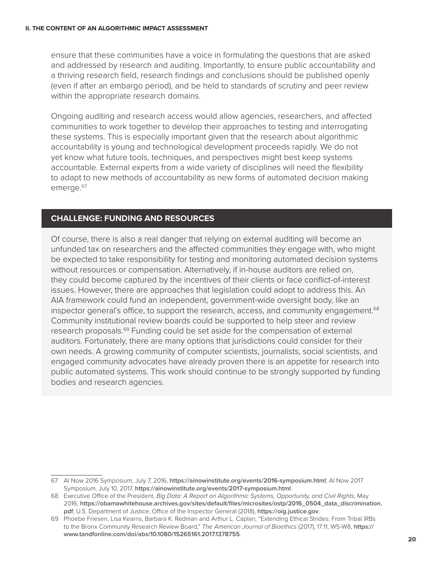ensure that these communities have a voice in formulating the questions that are asked and addressed by research and auditing. Importantly, to ensure public accountability and a thriving research field, research findings and conclusions should be published openly (even if after an embargo period), and be held to standards of scrutiny and peer review within the appropriate research domains.

Ongoing auditing and research access would allow agencies, researchers, and affected communities to work together to develop their approaches to testing and interrogating these systems. This is especially important given that the research about algorithmic accountability is young and technological development proceeds rapidly. We do not yet know what future tools, techniques, and perspectives might best keep systems accountable. External experts from a wide variety of disciplines will need the flexibility to adapt to new methods of accountability as new forms of automated decision making emerge.<sup>67</sup>

### **CHALLENGE: FUNDING AND RESOURCES**

Of course, there is also a real danger that relying on external auditing will become an unfunded tax on researchers and the affected communities they engage with, who might be expected to take responsibility for testing and monitoring automated decision systems without resources or compensation. Alternatively, if in-house auditors are relied on, they could become captured by the incentives of their clients or face conflict-of-interest issues. However, there are approaches that legislation could adopt to address this. An AIA framework could fund an independent, government-wide oversight body, like an inspector general's office, to support the research, access, and community engagement.<sup>68</sup> Community institutional review boards could be supported to help steer and review research proposals.69 Funding could be set aside for the compensation of external auditors. Fortunately, there are many options that jurisdictions could consider for their own needs. A growing community of computer scientists, journalists, social scientists, and engaged community advocates have already proven there is an appetite for research into public automated systems. This work should continue to be strongly supported by funding bodies and research agencies.

<sup>67</sup> AI Now 2016 Symposium, July 7, 2016, **<https://ainowinstitute.org/events/2016-symposium.html>**; AI Now 2017 Symposium, July 10, 2017, **<https://ainowinstitute.org/events/2017-symposium.html>**.

<sup>68</sup> Executive Office of the President, *Big Data: A Report on Algorithmic Systems, Opportunity, and Civil Rights*, May 2016, **[https://obamawhitehouse.archives.gov/sites/default/files/microsites/ostp/2016\\_0504\\_data\\_discrimination.](https://obamawhitehouse.archives.gov/sites/default/files/microsites/ostp/2016_0504_data_discrimination.pdf) [pdf](https://obamawhitehouse.archives.gov/sites/default/files/microsites/ostp/2016_0504_data_discrimination.pdf)**; U.S. Department of Justice, Office of the Inspector General (2018), **<https://oig.justice.gov>**.

<sup>69</sup> Phoebe Friesen, Lisa Kearns, Barbara K. Redman and Arthur L. Caplan, "Extending Ethical Strides: From Tribal IRBs to the Bronx Community Research Review Board," *The American Journal of Bioethics* (2017), 17:11, W5-W8, **[https://](https://www.tandfonline.com/doi/abs/10.1080/15265161.2017.1378755) [www.tandfonline.com/doi/abs/10.1080/15265161.2017.1378755](https://www.tandfonline.com/doi/abs/10.1080/15265161.2017.1378755)**.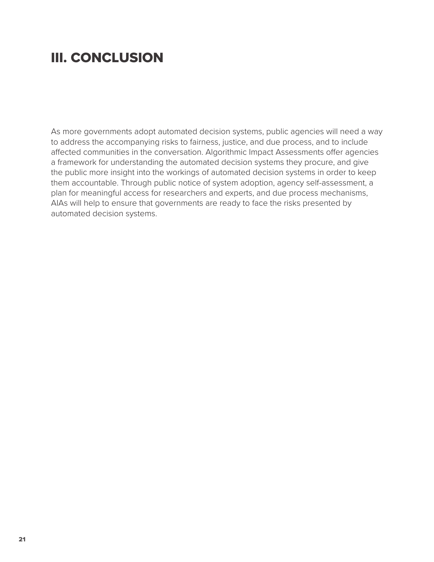# III. CONCLUSION

As more governments adopt automated decision systems, public agencies will need a way to address the accompanying risks to fairness, justice, and due process, and to include affected communities in the conversation. Algorithmic Impact Assessments offer agencies a framework for understanding the automated decision systems they procure, and give the public more insight into the workings of automated decision systems in order to keep them accountable. Through public notice of system adoption, agency self-assessment, a plan for meaningful access for researchers and experts, and due process mechanisms, AIAs will help to ensure that governments are ready to face the risks presented by automated decision systems.